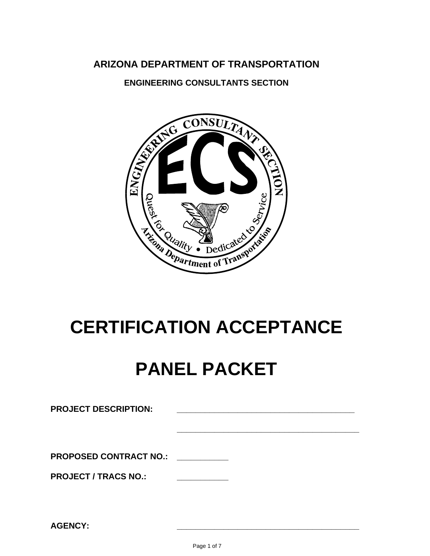## **ARIZONA DEPARTMENT OF TRANSPORTATION**

**ENGINEERING CONSULTANTS SECTION** 



# **CERTIFICATION ACCEPTANCE**

# **PANEL PACKET**

| <b>PROJECT DESCRIPTION:</b>   |  |  |
|-------------------------------|--|--|
|                               |  |  |
| <b>PROPOSED CONTRACT NO.:</b> |  |  |
| <b>PROJECT / TRACS NO.:</b>   |  |  |
|                               |  |  |
|                               |  |  |

**AGENCY: \_\_\_\_\_\_\_\_\_\_\_\_\_\_\_\_\_\_\_\_\_\_\_\_\_\_\_\_\_\_\_\_\_\_\_\_\_\_\_**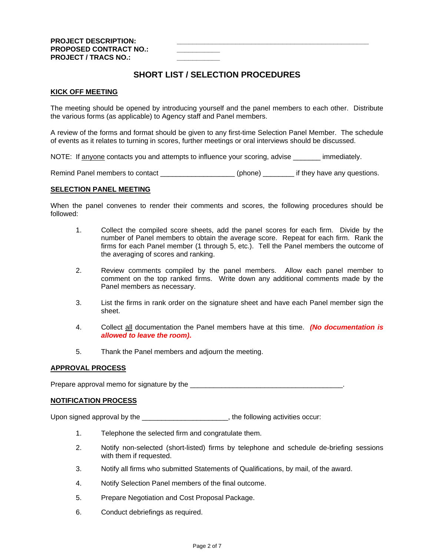## **SHORT LIST / SELECTION PROCEDURES**

#### **KICK OFF MEETING**

The meeting should be opened by introducing yourself and the panel members to each other. Distribute the various forms (as applicable) to Agency staff and Panel members.

A review of the forms and format should be given to any first-time Selection Panel Member. The schedule of events as it relates to turning in scores, further meetings or oral interviews should be discussed.

NOTE: If anyone contacts you and attempts to influence your scoring, advise immediately.

Remind Panel members to contact \_\_\_\_\_\_\_\_\_\_\_\_\_\_\_\_\_\_\_ (phone) \_\_\_\_\_\_\_\_ if they have any questions.

#### **SELECTION PANEL MEETING**

When the panel convenes to render their comments and scores, the following procedures should be followed:

- 1. Collect the compiled score sheets, add the panel scores for each firm. Divide by the number of Panel members to obtain the average score. Repeat for each firm. Rank the firms for each Panel member (1 through 5, etc.). Tell the Panel members the outcome of the averaging of scores and ranking.
- 2. Review comments compiled by the panel members. Allow each panel member to comment on the top ranked firms. Write down any additional comments made by the Panel members as necessary.
- 3. List the firms in rank order on the signature sheet and have each Panel member sign the sheet.
- 4. Collect all documentation the Panel members have at this time. *(No documentation is allowed to leave the room)***.**
- 5. Thank the Panel members and adjourn the meeting.

#### **APPROVAL PROCESS**

Prepare approval memo for signature by the \_\_\_\_\_\_\_\_\_\_\_\_\_\_\_\_\_\_\_\_\_\_\_\_\_\_\_\_\_\_\_\_\_\_\_\_\_\_\_.

#### **NOTIFICATION PROCESS**

Upon signed approval by the \_\_\_\_\_\_\_\_\_\_\_\_\_\_\_\_\_\_\_\_\_\_\_, the following activities occur:

- 1. Telephone the selected firm and congratulate them.
- 2. Notify non-selected (short-listed) firms by telephone and schedule de-briefing sessions with them if requested.
- 3. Notify all firms who submitted Statements of Qualifications, by mail, of the award.
- 4. Notify Selection Panel members of the final outcome.
- 5. Prepare Negotiation and Cost Proposal Package.
- 6. Conduct debriefings as required.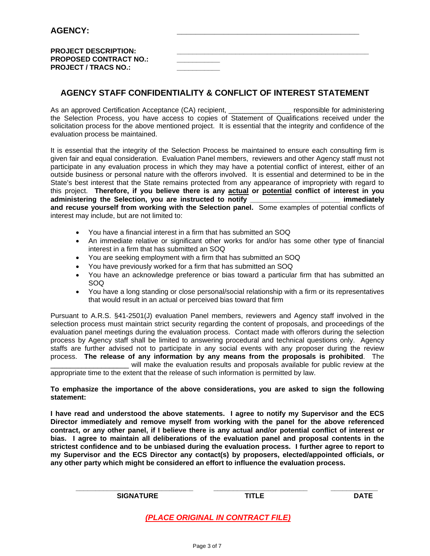| <b>PROJECT DESCRIPTION:</b>   |  |
|-------------------------------|--|
| <b>PROPOSED CONTRACT NO.:</b> |  |
| <b>PROJECT / TRACS NO.:</b>   |  |

## **AGENCY STAFF CONFIDENTIALITY & CONFLICT OF INTEREST STATEMENT**

As an approved Certification Acceptance (CA) recipient, \_\_\_\_\_\_\_\_\_\_\_\_\_\_\_\_\_\_ responsible for administering the Selection Process, you have access to copies of Statement of Qualifications received under the solicitation process for the above mentioned project. It is essential that the integrity and confidence of the evaluation process be maintained.

It is essential that the integrity of the Selection Process be maintained to ensure each consulting firm is given fair and equal consideration. Evaluation Panel members, reviewers and other Agency staff must not participate in any evaluation process in which they may have a potential conflict of interest, either of an outside business or personal nature with the offerors involved. It is essential and determined to be in the State's best interest that the State remains protected from any appearance of impropriety with regard to this project. **Therefore, if you believe there is any actual or potential conflict of interest in you administering the Selection, you are instructed to notify \_\_\_\_\_\_\_\_\_\_\_\_\_\_\_\_\_\_\_\_\_\_\_ immediately and recuse yourself from working with the Selection panel.** Some examples of potential conflicts of interest may include, but are not limited to:

- You have a financial interest in a firm that has submitted an SOQ
- An immediate relative or significant other works for and/or has some other type of financial interest in a firm that has submitted an SOQ
- You are seeking employment with a firm that has submitted an SOQ
- You have previously worked for a firm that has submitted an SOQ
- You have an acknowledge preference or bias toward a particular firm that has submitted an SOQ
- You have a long standing or close personal/social relationship with a firm or its representatives that would result in an actual or perceived bias toward that firm

Pursuant to A.R.S. §41-2501(J) evaluation Panel members, reviewers and Agency staff involved in the selection process must maintain strict security regarding the content of proposals, and proceedings of the evaluation panel meetings during the evaluation process. Contact made with offerors during the selection process by Agency staff shall be limited to answering procedural and technical questions only. Agency staffs are further advised not to participate in any social events with any proposer during the review process. **The release of any information by any means from the proposals is prohibited**. The will make the evaluation results and proposals available for public review at the

appropriate time to the extent that the release of such information is permitted by law.

#### **To emphasize the importance of the above considerations, you are asked to sign the following statement:**

**I have read and understood the above statements. I agree to notify my Supervisor and the ECS Director immediately and remove myself from working with the panel for the above referenced contract, or any other panel, if I believe there is any actual and/or potential conflict of interest or bias. I agree to maintain all deliberations of the evaluation panel and proposal contents in the strictest confidence and to be unbiased during the evaluation process. I further agree to report to my Supervisor and the ECS Director any contact(s) by proposers, elected/appointed officials, or any other party which might be considered an effort to influence the evaluation process.** 

**SIGNATURE TITLE DATE** 

*(PLACE ORIGINAL IN CONTRACT FILE)*

**\_\_\_\_\_\_\_\_\_\_\_\_\_\_\_\_\_\_\_\_\_\_\_\_\_\_\_\_\_\_ \_\_\_\_\_\_\_\_\_\_\_\_\_\_\_\_\_\_\_\_\_\_\_\_ \_\_\_\_\_\_\_\_\_\_\_\_**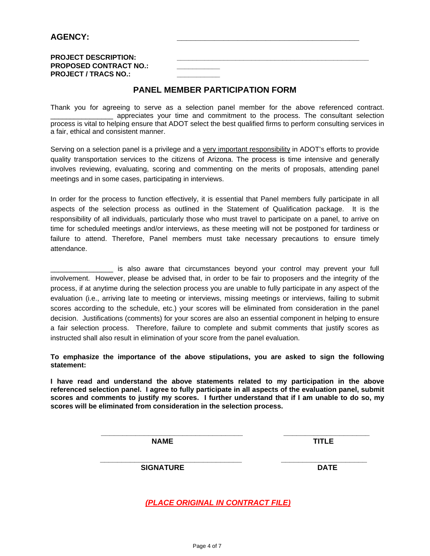**PROJECT DESCRIPTION: PROPOSED CONTRACT NO.: PROJECT / TRACS NO.:** 

## **PANEL MEMBER PARTICIPATION FORM**

Thank you for agreeing to serve as a selection panel member for the above referenced contract. \_\_\_\_\_\_\_\_\_\_\_\_\_\_\_\_ appreciates your time and commitment to the process. The consultant selection process is vital to helping ensure that ADOT select the best qualified firms to perform consulting services in a fair, ethical and consistent manner.

Serving on a selection panel is a privilege and a very important responsibility in ADOT's efforts to provide quality transportation services to the citizens of Arizona. The process is time intensive and generally involves reviewing, evaluating, scoring and commenting on the merits of proposals, attending panel meetings and in some cases, participating in interviews.

In order for the process to function effectively, it is essential that Panel members fully participate in all aspects of the selection process as outlined in the Statement of Qualification package. It is the responsibility of all individuals, particularly those who must travel to participate on a panel, to arrive on time for scheduled meetings and/or interviews, as these meeting will not be postponed for tardiness or failure to attend. Therefore, Panel members must take necessary precautions to ensure timely attendance.

\_\_\_\_\_\_\_\_\_\_\_\_\_\_\_\_ is also aware that circumstances beyond your control may prevent your full involvement. However, please be advised that, in order to be fair to proposers and the integrity of the process, if at anytime during the selection process you are unable to fully participate in any aspect of the evaluation (i.e., arriving late to meeting or interviews, missing meetings or interviews, failing to submit scores according to the schedule, etc.) your scores will be eliminated from consideration in the panel decision. Justifications (comments) for your scores are also an essential component in helping to ensure a fair selection process. Therefore, failure to complete and submit comments that justify scores as instructed shall also result in elimination of your score from the panel evaluation.

**To emphasize the importance of the above stipulations, you are asked to sign the following statement:** 

**I have read and understand the above statements related to my participation in the above referenced selection panel. I agree to fully participate in all aspects of the evaluation panel, submit scores and comments to justify my scores. I further understand that if I am unable to do so, my scores will be eliminated from consideration in the selection process.** 

 **\_\_\_\_\_\_\_\_\_\_\_\_\_\_\_\_\_\_\_\_\_\_\_\_\_\_\_\_\_\_\_\_\_ \_\_\_\_\_\_\_\_\_\_\_\_\_\_\_\_\_\_\_\_** 

**NAME** TITLE

 **\_\_\_\_\_\_\_\_\_\_\_\_\_\_\_\_\_\_\_\_\_\_\_\_\_\_\_\_\_\_\_\_\_ \_\_\_\_\_\_\_\_\_\_\_\_\_\_\_\_\_\_\_\_ SIGNATURE DATE** 

*(PLACE ORIGINAL IN CONTRACT FILE)*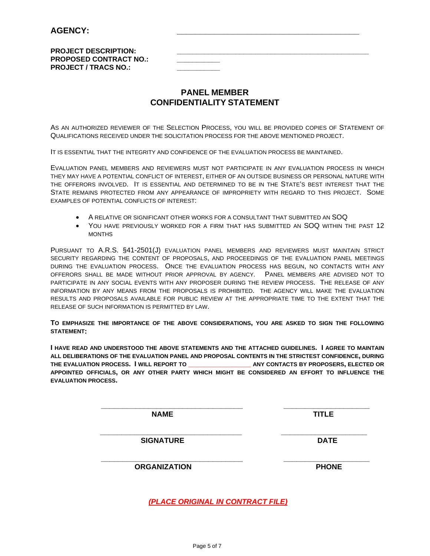**PROJECT DESCRIPTION: PROPOSED CONTRACT NO.: PROJECT / TRACS NO.:** 

## **PANEL MEMBER CONFIDENTIALITY STATEMENT**

AS AN AUTHORIZED REVIEWER OF THE SELECTION PROCESS, YOU WILL BE PROVIDED COPIES OF STATEMENT OF QUALIFICATIONS RECEIVED UNDER THE SOLICITATION PROCESS FOR THE ABOVE MENTIONED PROJECT.

IT IS ESSENTIAL THAT THE INTEGRITY AND CONFIDENCE OF THE EVALUATION PROCESS BE MAINTAINED.

EVALUATION PANEL MEMBERS AND REVIEWERS MUST NOT PARTICIPATE IN ANY EVALUATION PROCESS IN WHICH THEY MAY HAVE A POTENTIAL CONFLICT OF INTEREST, EITHER OF AN OUTSIDE BUSINESS OR PERSONAL NATURE WITH THE OFFERORS INVOLVED. IT IS ESSENTIAL AND DETERMINED TO BE IN THE STATE'S BEST INTEREST THAT THE STATE REMAINS PROTECTED FROM ANY APPEARANCE OF IMPROPRIETY WITH REGARD TO THIS PROJECT. SOME EXAMPLES OF POTENTIAL CONFLICTS OF INTEREST:

- A RELATIVE OR SIGNIFICANT OTHER WORKS FOR A CONSULTANT THAT SUBMITTED AN SOQ
- YOU HAVE PREVIOUSLY WORKED FOR A FIRM THAT HAS SUBMITTED AN SOQ WITHIN THE PAST 12 MONTHS

PURSUANT TO A.R.S. §41-2501(J) EVALUATION PANEL MEMBERS AND REVIEWERS MUST MAINTAIN STRICT SECURITY REGARDING THE CONTENT OF PROPOSALS, AND PROCEEDINGS OF THE EVALUATION PANEL MEETINGS DURING THE EVALUATION PROCESS. ONCE THE EVALUATION PROCESS HAS BEGUN, NO CONTACTS WITH ANY OFFERORS SHALL BE MADE WITHOUT PRIOR APPROVAL BY AGENCY. PANEL MEMBERS ARE ADVISED NOT TO PARTICIPATE IN ANY SOCIAL EVENTS WITH ANY PROPOSER DURING THE REVIEW PROCESS. THE RELEASE OF ANY INFORMATION BY ANY MEANS FROM THE PROPOSALS IS PROHIBITED. THE AGENCY WILL MAKE THE EVALUATION RESULTS AND PROPOSALS AVAILABLE FOR PUBLIC REVIEW AT THE APPROPRIATE TIME TO THE EXTENT THAT THE RELEASE OF SUCH INFORMATION IS PERMITTED BY LAW.

**TO EMPHASIZE THE IMPORTANCE OF THE ABOVE CONSIDERATIONS, YOU ARE ASKED TO SIGN THE FOLLOWING STATEMENT:** 

**I HAVE READ AND UNDERSTOOD THE ABOVE STATEMENTS AND THE ATTACHED GUIDELINES. I AGREE TO MAINTAIN ALL DELIBERATIONS OF THE EVALUATION PANEL AND PROPOSAL CONTENTS IN THE STRICTEST CONFIDENCE, DURING THE EVALUATION PROCESS. I WILL REPORT TO \_\_\_\_\_\_\_\_\_\_\_\_\_\_\_\_ ANY CONTACTS BY PROPOSERS, ELECTED OR APPOINTED OFFICIALS, OR ANY OTHER PARTY WHICH MIGHT BE CONSIDERED AN EFFORT TO INFLUENCE THE EVALUATION PROCESS.** 

 **\_\_\_\_\_\_\_\_\_\_\_\_\_\_\_\_\_\_\_\_\_\_\_\_\_\_\_\_\_\_\_\_\_ \_\_\_\_\_\_\_\_\_\_\_\_\_\_\_\_\_\_\_\_** 

 **\_\_\_\_\_\_\_\_\_\_\_\_\_\_\_\_\_\_\_\_\_\_\_\_\_\_\_\_\_\_\_\_\_ \_\_\_\_\_\_\_\_\_\_\_\_\_\_\_\_\_\_\_\_**

**NAME** TITLE

**SIGNATURE DATE** 

 **\_\_\_\_\_\_\_\_\_\_\_\_\_\_\_\_\_\_\_\_\_\_\_\_\_\_\_\_\_\_\_\_\_ \_\_\_\_\_\_\_\_\_\_\_\_\_\_\_\_\_\_\_\_ ORGANIZATION PHONE** 

*(PLACE ORIGINAL IN CONTRACT FILE)*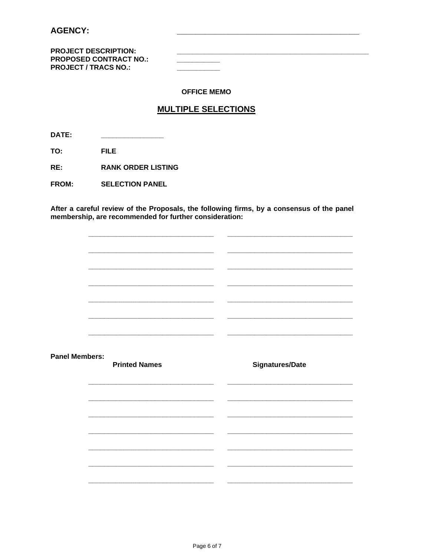## **AGENCY:**

**PROJECT DESCRIPTION: PROPOSED CONTRACT NO.: PROJECT / TRACS NO.:** 

### **OFFICE MEMO**

## **MULTIPLE SELECTIONS**

DATE:

**FILE** TO:

 $RE:$ **RANK ORDER LISTING** 

**FROM: SELECTION PANEL** 

After a careful review of the Proposals, the following firms, by a consensus of the panel membership, are recommended for further consideration:

 $\mathbb{R}^2$  $\sim$ **Panel Members: Signatures/Date Printed Names** <u> 1989 - Johann Barbara, martin a</u>  $\overline{\phantom{0}}$